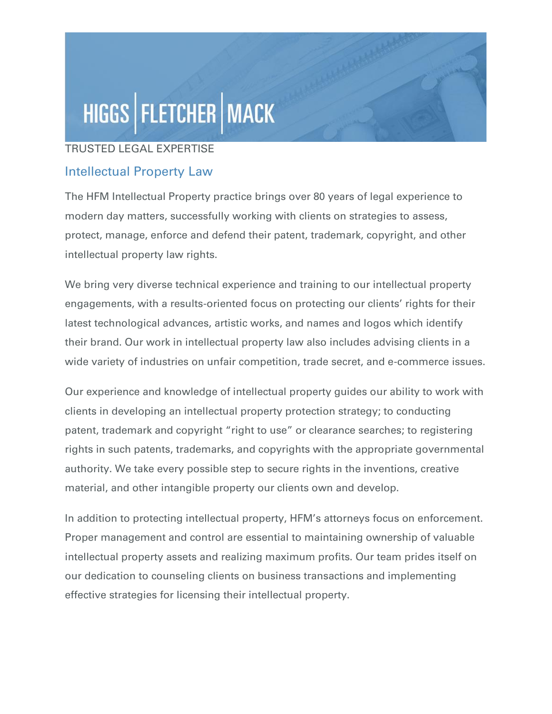## HIGGS | FLETCHER | MACK

## TRUSTED LEGAL EXPERTISE

## Intellectual Property Law

The HFM Intellectual Property practice brings over 80 years of legal experience to modern day matters, successfully working with clients on strategies to assess, protect, manage, enforce and defend their patent, trademark, copyright, and other intellectual property law rights.

We bring very diverse technical experience and training to our intellectual property engagements, with a results-oriented focus on protecting our clients' rights for their latest technological advances, artistic works, and names and logos which identify their brand. Our work in intellectual property law also includes advising clients in a wide variety of industries on unfair competition, trade secret, and e-commerce issues.

Our experience and knowledge of intellectual property guides our ability to work with clients in developing an intellectual property protection strategy; to conducting patent, trademark and copyright "right to use" or clearance searches; to registering rights in such patents, trademarks, and copyrights with the appropriate governmental authority. We take every possible step to secure rights in the inventions, creative material, and other intangible property our clients own and develop.

In addition to protecting intellectual property, HFM's attorneys focus on enforcement. Proper management and control are essential to maintaining ownership of valuable intellectual property assets and realizing maximum profits. Our team prides itself on our dedication to counseling clients on business transactions and implementing effective strategies for licensing their intellectual property.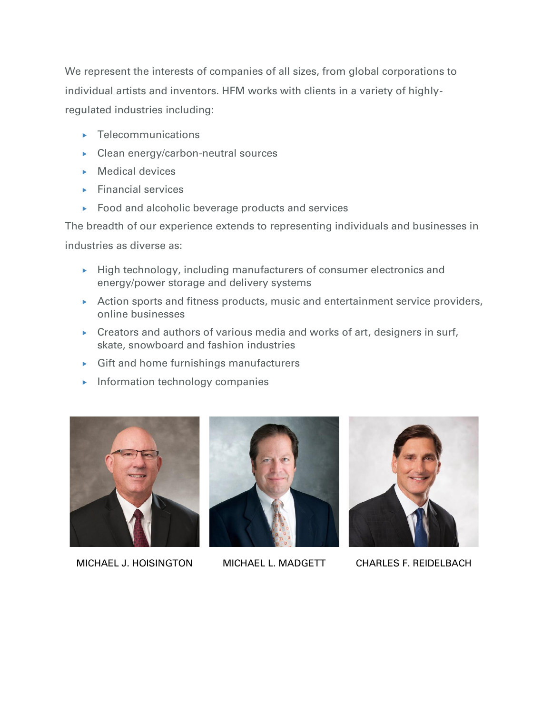We represent the interests of companies of all sizes, from global corporations to individual artists and inventors. HFM works with clients in a variety of highlyregulated industries including:

- **F** Telecommunications
- ▶ Clean energy/carbon-neutral sources
- $\triangleright$  Medical devices
- $\blacktriangleright$  Financial services
- ▶ Food and alcoholic beverage products and services

The breadth of our experience extends to representing individuals and businesses in industries as diverse as:

- $\rightarrow$  High technology, including manufacturers of consumer electronics and energy/power storage and delivery systems
- Action sports and fitness products, music and entertainment service providers, online businesses
- $\triangleright$  Creators and authors of various media and works of art, designers in surf, skate, snowboard and fashion industries
- Gift and home furnishings manufacturers
- $\blacktriangleright$  Information technology companies



MICHAEL J. HOISINGTON MICHAEL L. MADGETT CHARLES F. REIDELBACH